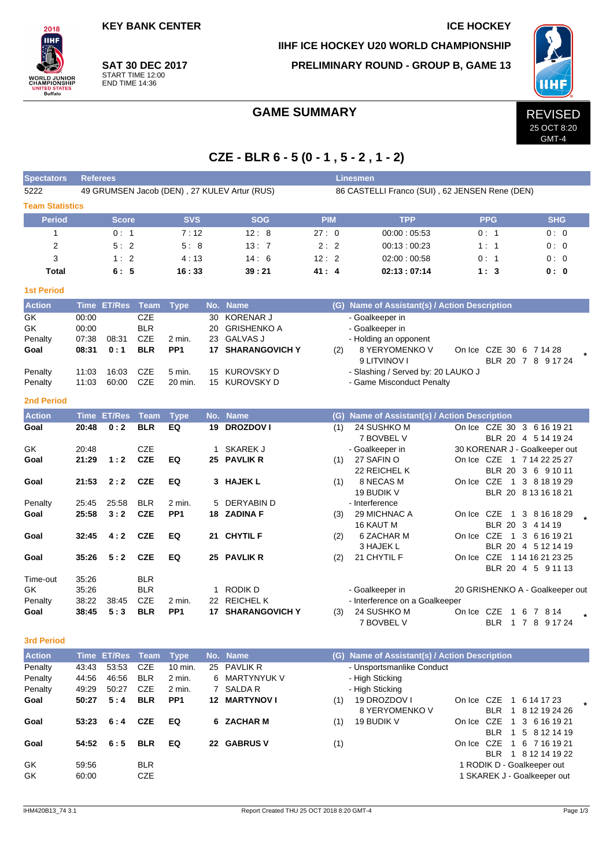**KEY BANK CENTER ICE HOCKEY** 

**SAT 30 DEC 2017** START TIME 12:00 END TIME 14:36

 $2018$ **IIHF** 

**ORLD JUNIOR**<br>HAMPIONSHIP

NITED STATES<br>Buffalo

**Spectators Referees Linesmen**

**IIHF ICE HOCKEY U20 WORLD CHAMPIONSHIP**

**PRELIMINARY ROUND - GROUP B, GAME 13**



GMT-4

### GAME SUMMARY REVISED

## **CZE - BLR 6 - 5 (0 - 1 , 5 - 2 , 1 - 2)**

| 5222<br>49 GRUMSEN Jacob (DEN), 27 KULEV Artur (RUS) |       |                    |             |                 |              |                    |            | 86 CASTELLI Franco (SUI), 62 JENSEN Rene (DEN)                  |                                 |                      |  |  |  |  |  |
|------------------------------------------------------|-------|--------------------|-------------|-----------------|--------------|--------------------|------------|-----------------------------------------------------------------|---------------------------------|----------------------|--|--|--|--|--|
| <b>Team Statistics</b>                               |       |                    |             |                 |              |                    |            |                                                                 |                                 |                      |  |  |  |  |  |
| <b>Period</b>                                        |       | <b>Score</b>       |             | <b>SVS</b>      |              | <b>SOG</b>         | <b>PIM</b> | <b>TPP</b>                                                      | <b>PPG</b>                      | <b>SHG</b>           |  |  |  |  |  |
| 1                                                    |       | 0:1                |             | 7:12            |              | 12:8               | 27:0       | 00:00:05.53                                                     | 0: 1                            | 0:0                  |  |  |  |  |  |
| $\overline{2}$                                       |       | 5:2                |             | 5:8             |              | 13:7               | 2:2        | 00:13:00:23                                                     | 1:1                             | 0:0                  |  |  |  |  |  |
| 3                                                    |       | 1:2                |             | 4:13            |              | 14:6               | 12:2       | 02:00:00:58                                                     | 0:1                             | 0:0                  |  |  |  |  |  |
| <b>Total</b>                                         |       | 6:5                |             | 16:33           |              | 39:21              | 41:4       | 02:13:07:14                                                     | 1:3                             | 0: 0                 |  |  |  |  |  |
| <b>1st Period</b>                                    |       |                    |             |                 |              |                    |            |                                                                 |                                 |                      |  |  |  |  |  |
| <b>Action</b>                                        | Time  | <b>ET/Res</b>      | Team        | <b>Type</b>     |              | No. Name           |            | (G) Name of Assistant(s) / Action Description                   |                                 |                      |  |  |  |  |  |
| GK                                                   | 00:00 |                    | <b>CZE</b>  |                 | 30           | <b>KORENAR J</b>   |            | - Goalkeeper in                                                 |                                 |                      |  |  |  |  |  |
| GK                                                   | 00:00 |                    | <b>BLR</b>  |                 | 20           | <b>GRISHENKO A</b> |            | - Goalkeeper in                                                 |                                 |                      |  |  |  |  |  |
| Penalty                                              | 07:38 | 08:31              | <b>CZE</b>  | 2 min.          | 23           | <b>GALVAS J</b>    |            | - Holding an opponent                                           |                                 |                      |  |  |  |  |  |
| Goal                                                 | 08:31 | 0:1                | <b>BLR</b>  | PP <sub>1</sub> |              | 17 SHARANGOVICH Y  | (2)        | 8 YERYOMENKO V                                                  | On Ice CZE 30 6 7 14 28         |                      |  |  |  |  |  |
|                                                      | 11:03 | 16:03              | <b>CZE</b>  | 5 min.          | 15           | KUROVSKY D         |            | 9 LITVINOV I                                                    |                                 | BLR 20 7 8 9 17 24   |  |  |  |  |  |
| Penalty<br>Penalty                                   | 11:03 | 60:00              | CZE         | 20 min.         |              | 15 KUROVSKY D      |            | - Slashing / Served by: 20 LAUKO J<br>- Game Misconduct Penalty |                                 |                      |  |  |  |  |  |
|                                                      |       |                    |             |                 |              |                    |            |                                                                 |                                 |                      |  |  |  |  |  |
| <b>2nd Period</b>                                    |       |                    |             |                 |              |                    |            |                                                                 |                                 |                      |  |  |  |  |  |
| <b>Action</b>                                        |       | <b>Time ET/Res</b> | <b>Team</b> | <b>Type</b>     |              | No. Name           |            | (G) Name of Assistant(s) / Action Description                   |                                 |                      |  |  |  |  |  |
| Goal                                                 | 20:48 | 0:2                | <b>BLR</b>  | EQ              |              | 19 DROZDOV I       | (1)        | 24 SUSHKO M<br>7 BOVBEL V                                       | On Ice CZE 30 3 6 16 19 21      | BLR 20 4 5 14 19 24  |  |  |  |  |  |
| GK                                                   | 20:48 |                    | <b>CZE</b>  |                 |              | 1 SKAREK J         |            | - Goalkeeper in                                                 | 30 KORENAR J - Goalkeeper out   |                      |  |  |  |  |  |
| Goal                                                 | 21:29 | 1:2                | <b>CZE</b>  | EQ              |              | 25 PAVLIK R        | (1)        | 27 SAFIN O                                                      | On Ice CZE 1 7 14 22 25 27      |                      |  |  |  |  |  |
|                                                      |       |                    |             |                 |              |                    |            | 22 REICHEL K                                                    |                                 | BLR 20 3 6 9 10 11   |  |  |  |  |  |
| Goal                                                 | 21:53 | 2:2                | <b>CZE</b>  | EQ              |              | 3 HAJEK L          | (1)        | 8 NECAS M                                                       | On Ice CZE                      | 1 3 8 18 19 29       |  |  |  |  |  |
|                                                      |       |                    |             |                 |              |                    |            | 19 BUDIK V                                                      |                                 | BLR 20 8 13 16 18 21 |  |  |  |  |  |
| Penalty                                              | 25:45 | 25:58              | <b>BLR</b>  | 2 min.          |              | 5 DERYABIN D       |            | - Interference                                                  |                                 |                      |  |  |  |  |  |
| Goal                                                 | 25:58 | 3:2                | <b>CZE</b>  | PP <sub>1</sub> |              | 18 ZADINA F        | (3)        | 29 MICHNAC A                                                    | On Ice CZE<br>$\overline{1}$    | 3 8 16 18 29         |  |  |  |  |  |
|                                                      |       |                    |             |                 |              |                    |            | 16 KAUT M                                                       |                                 | BLR 20 3 4 14 19     |  |  |  |  |  |
| Goal                                                 | 32:45 | 4:2                | <b>CZE</b>  | EQ              |              | 21 CHYTIL F        | (2)        | 6 ZACHAR M                                                      | On Ice CZE                      | 1 3 6 16 19 21       |  |  |  |  |  |
|                                                      |       |                    |             |                 |              |                    |            | 3 HAJEK L                                                       |                                 | BLR 20 4 5 12 14 19  |  |  |  |  |  |
| Goal                                                 | 35:26 | 5:2                | <b>CZE</b>  | EQ              |              | 25 PAVLIK R        | (2)        | 21 CHYTIL F                                                     | On Ice CZE 1 14 16 21 23 25     | BLR 20 4 5 9 11 13   |  |  |  |  |  |
| Time-out                                             | 35:26 |                    | <b>BLR</b>  |                 |              |                    |            |                                                                 |                                 |                      |  |  |  |  |  |
| GK                                                   | 35:26 |                    | <b>BLR</b>  |                 | $\mathbf{1}$ | RODIK D            |            | - Goalkeeper in                                                 | 20 GRISHENKO A - Goalkeeper out |                      |  |  |  |  |  |
| Penalty                                              | 38:22 | 38:45              | <b>CZE</b>  | 2 min.          | 22           | <b>REICHELK</b>    |            | - Interference on a Goalkeeper                                  |                                 |                      |  |  |  |  |  |
| Goal                                                 | 38:45 | 5:3                | <b>BLR</b>  | PP <sub>1</sub> |              | 17 SHARANGOVICH Y  | (3)        | 24 SUSHKO M                                                     | On Ice CZE                      | 1 6 7 8 14           |  |  |  |  |  |
|                                                      |       |                    |             |                 |              |                    |            | 7 BOVBEL V                                                      | <b>BLR</b>                      | 1 7 8 9 17 24        |  |  |  |  |  |
| <b>3rd Period</b>                                    |       |                    |             |                 |              |                    |            |                                                                 |                                 |                      |  |  |  |  |  |
| <b>Action</b>                                        |       | Time ET/Res        | <b>Team</b> | <b>Type</b>     | No.          | <b>Name</b>        |            | (G) Name of Assistant(s) / Action Description                   |                                 |                      |  |  |  |  |  |
| Penalty                                              | 43:43 | 53:53              | <b>CZE</b>  | 10 min.         | 25           | <b>PAVLIK R</b>    |            | - Unsportsmanlike Conduct                                       |                                 |                      |  |  |  |  |  |
| Penalty                                              | 44:56 | 46:56              | <b>BLR</b>  | 2 min.          | 6            | <b>MARTYNYUK V</b> |            | - High Sticking                                                 |                                 |                      |  |  |  |  |  |
| Penaltv                                              | 49.29 | 50.27              | C.ZE        | 2 min           |              | 7 SAI DA R         |            | - High Sticking                                                 |                                 |                      |  |  |  |  |  |

| .        |                |               |                          |                 | .                   |     |                                |  |                                                           |  |
|----------|----------------|---------------|--------------------------|-----------------|---------------------|-----|--------------------------------|--|-----------------------------------------------------------|--|
| Penalty  | 49:29          | 50:27         | CZE                      | 2 min.          | 7 SALDA R           |     | - High Sticking                |  |                                                           |  |
| Goal     | 50:27          | 5:4           | <b>BLR</b>               | PP <sub>1</sub> | <b>12 MARTYNOVI</b> | (1) | 19 DROZDOV I<br>8 YERYOMENKO V |  | On Ice CZE 1 6 14 17 23<br>BLR 1 8 12 19 24 26            |  |
| Goal     |                | 53:23 6:4 CZE |                          | EQ              | 6 ZACHAR M          | (1) | 19 BUDIK V                     |  | On Ice CZE 1 3 6 16 19 21<br>BLR 1 5 8 12 14 19           |  |
| Goal     |                | $54:52$ 6:5   | BLR                      | EQ              | 22 GABRUS V         | (1) |                                |  | On Ice CZE 1 6 7 16 19 21<br>BLR 1 8 12 14 19 22          |  |
| GK<br>GK | 59.56<br>60:00 |               | <b>BLR</b><br><b>CZE</b> |                 |                     |     |                                |  | 1 RODIK D - Goalkeeper out<br>1 SKAREK J - Goalkeeper out |  |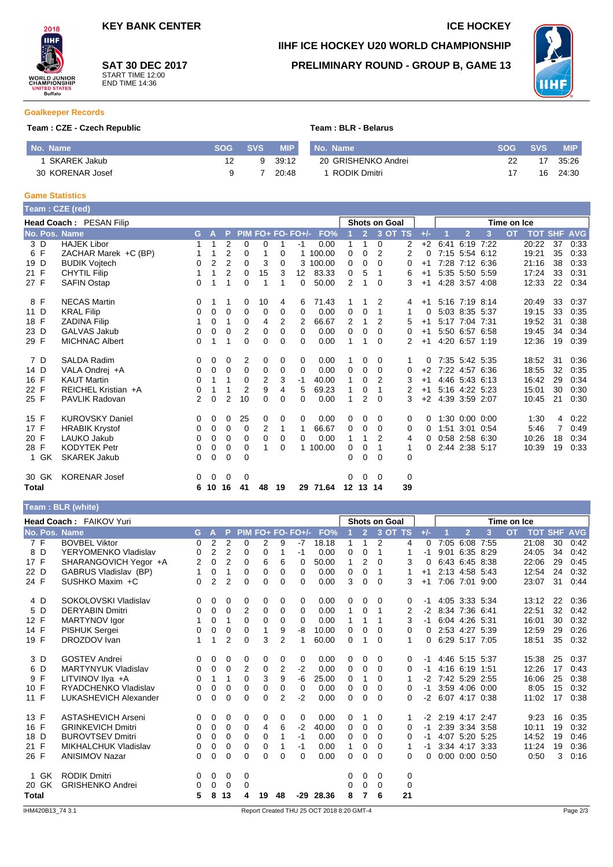

**SAT 30 DEC 2017** START TIME 12:00 END TIME 14:36

# **IIHF ICE HOCKEY U20 WORLD CHAMPIONSHIP PRELIMINARY ROUND - GROUP B, GAME 13**



#### **Goalkeeper Records**

#### **Team : CZE - Czech Republic Team : BLR - Belarus**

| No. Name         |              | <b>SOG</b> | <b>SVS</b> | <b>MIP</b> | No. Name            | <b>SOG SVS</b> ' |    | <b>MIP</b> |
|------------------|--------------|------------|------------|------------|---------------------|------------------|----|------------|
|                  | SKAREK Jakub |            |            | 39.12      | 20 GRISHENKO Andrei |                  |    | 35:26      |
| 30 KORENAR Josef |              |            |            | 20:48      | RODIK Dmitri        |                  | 16 | 24:30      |

#### **Game Statistics**

**Team : BLR (white)**

|       |       | Team : CZE (red)        |    |              |                |                |                |                         |                   |          |                 |                |          |                      |       |      |                |   |             |                    |    |      |
|-------|-------|-------------------------|----|--------------|----------------|----------------|----------------|-------------------------|-------------------|----------|-----------------|----------------|----------|----------------------|-------|------|----------------|---|-------------|--------------------|----|------|
|       |       | Head Coach: PESAN Filip |    |              |                |                |                |                         |                   |          |                 |                |          | <b>Shots on Goal</b> |       |      |                |   | Time on Ice |                    |    |      |
|       |       | No. Pos. Name           | G. | $\mathbf{A}$ | P.             |                |                |                         | PIM FO+ FO- FO+/- | FO%      |                 | $\overline{2}$ |          | 3 OT TS              | $+/-$ |      | $\overline{2}$ | 3 | <b>OT</b>   | <b>TOT SHF AVG</b> |    |      |
| 3 D   |       | <b>HAJEK Libor</b>      |    |              | 2              | $\mathbf 0$    | 0              | 1                       | -1                | 0.00     | 1               | 1              | 0        | 2                    | $+2$  | 6:41 | 6:19 7:22      |   |             | 20:22              | 37 | 0:33 |
| 6 F   |       | ZACHAR Marek +C (BP)    | 1  |              | 2              | 0              |                | 0                       |                   | 1 100.00 | 0               | 0              | 2        | 2                    | 0     |      | 7:15 5:54 6:12 |   |             | 19:21              | 35 | 0:33 |
| 19 D  |       | <b>BUDIK Vojtech</b>    | 0  | 2            | $\overline{2}$ | 0              | 3              | 0                       |                   | 3 100.00 | 0               | 0              | 0        | 0                    | $+1$  |      | 7:28 7:12 6:36 |   |             | 21:16              | 38 | 0:33 |
| 21 F  |       | <b>CHYTIL Filip</b>     | 1  | 1            | $\overline{2}$ | 0              | 15             | 3                       | 12                | 83.33    | 0               | 5              | 1        | 6                    | $+1$  |      | 5:35 5:50 5:59 |   |             | 17:24              | 33 | 0:31 |
| 27 F  |       | <b>SAFIN Ostap</b>      | 0  |              | 1              | 0              | 1              | 1                       | 0                 | 50.00    | 2               | 1              | 0        | 3                    | $+1$  |      | 4:28 3:57 4:08 |   |             | 12:33              | 22 | 0:34 |
| 8 F   |       | <b>NECAS Martin</b>     | 0  | 1            | 1              | 0              | 10             | 4                       | 6                 | 71.43    |                 |                | 2        | 4                    | $+1$  |      | 5:16 7:19 8:14 |   |             | 20:49              | 33 | 0:37 |
| 11 D  |       | <b>KRAL Filip</b>       | 0  | 0            | 0              | 0              | 0              | 0                       | $\Omega$          | 0.00     | 0               | 0              | 1        | 1                    | 0     |      | 5:03 8:35 5:37 |   |             | 19:15              | 33 | 0:35 |
| 18 F  |       | <b>ZADINA Filip</b>     |    | 0            | 1              | 0              | 4              | 2                       | 2                 | 66.67    | 2               | 1              | 2        | 5                    | $+1$  |      | 5:17 7:04 7:31 |   |             | 19:52              | 31 | 0:38 |
| 23 D  |       | <b>GALVAS Jakub</b>     | 0  | 0            | $\Omega$       | 2              | 0              | $\Omega$                | $\Omega$          | 0.00     | 0               | 0              | 0        | 0                    | $+1$  |      | 5:50 6:57 6:58 |   |             | 19:45              | 34 | 0:34 |
| 29 F  |       | <b>MICHNAC Albert</b>   | 0  |              | 1              | $\Omega$       | 0              | $\Omega$                | 0                 | 0.00     | 1               |                | 0        |                      | $+1$  |      | 4:20 6:57 1:19 |   |             | 12:36              | 19 | 0:39 |
| 7 D   |       | <b>SALDA Radim</b>      | 0  | 0            | 0              | 2              | 0              | 0                       | 0                 | 0.00     |                 | 0              | 0        | 1                    | 0     |      | 7:35 5:42 5:35 |   |             | 18:52              | 31 | 0:36 |
| 14 D  |       | VALA Ondrej +A          | 0  | 0            | $\Omega$       | 0              | 0              | $\Omega$                | $\Omega$          | 0.00     | $\Omega$        | 0              | 0        | 0                    | $+2$  |      | 7:22 4:57 6:36 |   |             | 18:55              | 32 | 0:35 |
| 16 F  |       | <b>KAUT Martin</b>      | 0  | 1            | 1              | 0              | $\overline{2}$ | 3                       | -1                | 40.00    | 1               | 0              | 2        | 3                    | $+1$  |      | 4:46 5:43 6:13 |   |             | 16:42              | 29 | 0:34 |
| 22 F  |       | REICHEL Kristian +A     | 0  | 1            | 1              | $\overline{2}$ | 9              | $\overline{\mathbf{4}}$ | 5                 | 69.23    | 1               | 0              | 1        | 2                    | $+1$  |      | 5:16 4:22 5:23 |   |             | 15:01              | 30 | 0:30 |
| 25 F  |       | <b>PAVLIK Radovan</b>   | 2  | 0            | $\overline{2}$ | 10             | 0              | $\Omega$                | $\Omega$          | 0.00     | 1               | 2              | 0        | 3                    | $+2$  |      | 4:39 3:59 2:07 |   |             | 10:45              | 21 | 0:30 |
| 15 F  |       | <b>KUROVSKY Daniel</b>  | 0  | 0            | 0              | 25             | 0              | 0                       | 0                 | 0.00     | 0               | 0              | 0        | 0                    | 0     |      | 1:30 0:00 0:00 |   |             | 1:30               | 4  | 0:22 |
| 17 F  |       | <b>HRABIK Krystof</b>   | 0  | 0            | 0              | $\Omega$       | 2              | 1                       |                   | 66.67    | 0               | 0              | 0        | 0                    | 0     |      | 1:51 3:01 0:54 |   |             | 5:46               | 7  | 0:49 |
| 20 F  |       | LAUKO Jakub             | 0  | 0            | 0              | 0              | $\Omega$       | 0                       | $\Omega$          | 0.00     | 1               | 1              | 2        | 4                    | 0     |      | 0:58 2:58 6:30 |   |             | 10:26              | 18 | 0:34 |
| 28 F  |       | <b>KODYTEK Petr</b>     | 0  | 0            | 0              | 0              | 1              | $\Omega$                |                   | 1 100.00 | 0               | 0              | 1        | 1                    | 0     |      | 2:44 2:38 5:17 |   |             | 10:39              | 19 | 0:33 |
|       | 1 GK  | <b>SKAREK Jakub</b>     | 0  | 0            | $\Omega$       | $\Omega$       |                |                         |                   |          | 0               | 0              | $\Omega$ | $\Omega$             |       |      |                |   |             |                    |    |      |
|       | 30 GK | <b>KORENAR Josef</b>    | 0  | 0            | 0              | 0              |                |                         |                   |          | 0               | $\overline{0}$ | $\Omega$ | 0                    |       |      |                |   |             |                    |    |      |
| Total |       |                         | 6  | 10           | 16             | 41             | 48             | 19                      | 29                | 71.64    | 12 <sup>°</sup> | 13 14          |          | 39                   |       |      |                |   |             |                    |    |      |

|                      | <b>Head Coach: FAIKOV Yuri</b> |          |                |                |          |          |                |                   |                                           |             |                | <b>Shots on Goal</b> |             |       |                |                |      | Time on Ice |       |    |                    |
|----------------------|--------------------------------|----------|----------------|----------------|----------|----------|----------------|-------------------|-------------------------------------------|-------------|----------------|----------------------|-------------|-------|----------------|----------------|------|-------------|-------|----|--------------------|
| <b>No. Pos. Name</b> |                                | G.       | A              | P              |          |          |                | PIM FO+ FO- FO+/- | FO%                                       |             | $\overline{2}$ | 3 OT TS              |             | $+/-$ |                | $\overline{2}$ | 3    | <b>OT</b>   |       |    | <b>TOT SHF AVG</b> |
| 7 F                  | <b>BOVBEL Viktor</b>           | 0        | $\overline{2}$ | $\overline{2}$ | 0        | 2        | 9              | $-7$              | 18.18                                     | 1           | 1              | 2                    | 4           | 0     | 7:05           | 6:08           | 7:55 |             | 21:08 | 30 | 0:42               |
| 8 D                  | YERYOMENKO Vladislav           | 0        | 2              | $\overline{2}$ | 0        | 0        |                | -1                | 0.00                                      | 0           | $\Omega$       | 1                    |             | -1    |                | 9:01 6:35 8:29 |      |             | 24:05 | 34 | 0:42               |
| 17 F                 | SHARANGOVICH Yegor +A          | 2        | $\mathbf 0$    | $\overline{2}$ | 0        | 6        | 6              | $\Omega$          | 50.00                                     | 1           | $\overline{2}$ | $\Omega$             | 3           | 0     |                | 6:43 6:45 8:38 |      |             | 22:06 | 29 | 0:45               |
| 22 D                 | GABRUS Vladislav (BP)          | 1        | 0              | 1              | 0        | 0        | $\Omega$       | $\Omega$          | 0.00                                      | 0           | 0              | 1                    | 1           | $+1$  |                | 2:13 4:58 5:43 |      |             | 12:54 | 24 | 0:32               |
| 24 F                 | SUSHKO Maxim +C                | $\Omega$ | $\overline{2}$ | $\overline{2}$ | $\Omega$ | 0        | 0              | $\Omega$          | 0.00                                      | 3           | $\mathbf 0$    | $\Omega$             | 3           | $+1$  |                | 7:06 7:01 9:00 |      |             | 23:07 | 31 | 0:44               |
| 4 D                  | SOKOLOVSKI Vladislav           | 0        | 0              | 0              | 0        | 0        | 0              | 0                 | 0.00                                      | 0           | 0              | 0                    | 0           | $-1$  |                | 4:05 3:33 5:34 |      |             | 13:12 | 22 | 0:36               |
| 5 D                  | <b>DERYABIN Dmitri</b>         | 0        | 0              | 0              | 2        | 0        | 0              | $\Omega$          | 0.00                                      | 1           | $\mathbf 0$    | 1                    | 2           | $-2$  |                | 8:34 7:36 6:41 |      |             | 22:51 | 32 | 0:42               |
| 12 F                 | MARTYNOV Igor                  |          | 0              | 1              | $\Omega$ | 0        | 0              | $\Omega$          | 0.00                                      | 1           | 1              |                      | 3           | $-1$  |                | 6:04 4:26 5:31 |      |             | 16:01 | 30 | 0:32               |
| 14 F                 | <b>PISHUK Sergei</b>           | 0        | 0              | 0              | 0        | 1        | 9              | -8                | 10.00                                     | 0           | 0              | $\Omega$             | $\Omega$    | 0     |                | 2:53 4:27 5:39 |      |             | 12:59 | 29 | 0:26               |
| 19 F                 | DROZDOV Ivan                   | 1        | 1              | $\overline{2}$ | 0        | 3        | $\overline{2}$ | -1                | 60.00                                     | 0           | -1             | $\Omega$             | 1           | 0     |                | 6:29 5:17 7:05 |      |             | 18:51 | 35 | 0:32               |
| 3 D                  | <b>GOSTEV Andrei</b>           | 0        | 0              | 0              | 0        | 0        | 0              | 0                 | 0.00                                      | 0           | 0              | 0                    | 0           | $-1$  |                | 4:46 5:15 5:37 |      |             | 15:38 | 25 | 0:37               |
| 6 D                  | <b>MARTYNYUK Vladislav</b>     | 0        | $\mathbf 0$    | 0              | 2        | 0        | 2              | $-2$              | 0.00                                      | $\mathbf 0$ | $\mathbf 0$    | $\Omega$             | 0           | -1    |                | 4:16 6:19 1:51 |      |             | 12:26 | 17 | 0.43               |
| 9 F                  | LITVINOV IIya +A               | 0        | 1              | 1              | 0        | 3        | 9              | -6                | 25.00                                     | 0           | 1              | $\Omega$             |             | $-2$  | 7:42 5:29 2:55 |                |      |             | 16:06 | 25 | 0:38               |
| 10 F                 | RYADCHENKO Vladislav           | 0        | 0              | 0              | 0        | 0        | 0              | 0                 | 0.00                                      | 0           | 0              | 0                    | 0           | $-1$  |                | 3:59 4:06 0:00 |      |             | 8:05  | 15 | 0:32               |
| 11 F                 | LUKASHEVICH Alexander          | 0        | $\mathbf 0$    | 0              | $\Omega$ | 0        | 2              | $-2$              | 0.00                                      | 0           | 0              | $\Omega$             | 0           | $-2$  |                | 6:07 4:17 0:38 |      |             | 11:02 | 17 | 0:38               |
| 13 F                 | <b>ASTASHEVICH Arseni</b>      | 0        | $\mathbf 0$    | 0              | 0        | 0        | 0              | 0                 | 0.00                                      | 0           |                | 0                    | 1           | $-2$  |                | 2:19 4:17 2:47 |      |             | 9:23  | 16 | 0:35               |
| 16 F                 | <b>GRINKEVICH Dmitri</b>       | 0        | 0              | 0              | 0        | 4        | 6              | $-2$              | 40.00                                     | 0           | 0              | 0                    | 0           | $-1$  |                | 2:39 3:34 3:58 |      |             | 10:11 | 19 | 0:32               |
| 18 D                 | <b>BUROVTSEV Dmitri</b>        | 0        | 0              | 0              | $\Omega$ | 0        |                | $-1$              | 0.00                                      | 0           | 0              | $\Omega$             | 0           | $-1$  |                | 4:07 5:20 5:25 |      |             | 14:52 | 19 | 0:46               |
| 21 F                 | MIKHALCHUK Vladislav           | 0        | 0              | 0              | 0        | 0        |                | -1                | 0.00                                      | 1           | 0              | $\Omega$             |             | -1    |                | 3:34 4:17 3:33 |      |             | 11:24 | 19 | 0:36               |
| 26 F                 | <b>ANISIMOV Nazar</b>          | 0        | $\Omega$       | $\mathbf 0$    | $\Omega$ | $\Omega$ | 0              | $\Omega$          | 0.00                                      | $\Omega$    | $\mathbf 0$    | $\Omega$             | 0           | 0     |                | 0:00 0:00 0:50 |      |             | 0:50  | 3  | 0:16               |
| 1 GK                 | <b>RODIK Dmitri</b>            | 0        | 0              | 0              | 0        |          |                |                   |                                           | 0           | 0              | 0                    | 0           |       |                |                |      |             |       |    |                    |
| 20 GK                | <b>GRISHENKO Andrei</b>        | 0        | $\mathbf 0$    | 0              | 0        |          |                |                   |                                           | 0           | 0              | $\Omega$             | $\mathbf 0$ |       |                |                |      |             |       |    |                    |
| Total                |                                | 5        | 8              | 13             | 4        | 19       | 48             | -29               | 28.36                                     | 8           | 7              | 6                    | 21          |       |                |                |      |             |       |    |                    |
| IHM420B13 74 3.1     |                                |          |                |                |          |          |                |                   | Report Created THU 25 OCT 2018 8:20 GMT-4 |             |                |                      |             |       |                |                |      |             |       |    | Page 2/3           |